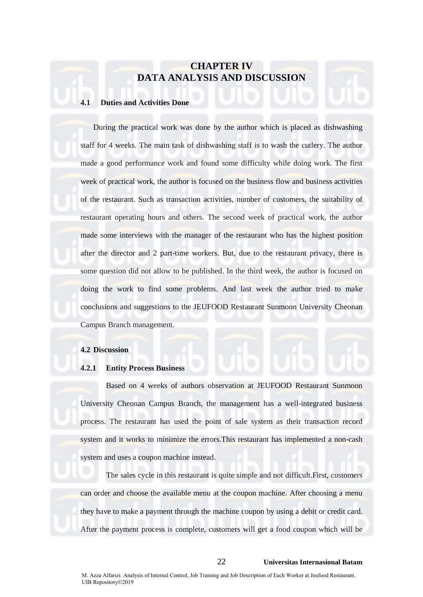# **CHAPTER IV DATA ANALYSIS AND DISCUSSION**

### **4.1 Duties and Activities Done**

During the practical work was done by the author which is placed as dishwashing staff for 4 weeks. The main task of dishwashing staff is to wash the cutlery. The author made a good performance work and found some difficulty while doing work. The first week of practical work, the author is focused on the business flow and business activities of the restaurant. Such as transaction activities, number of customers, the suitability of restaurant operating hours and others. The second week of practical work, the author made some interviews with the manager of the restaurant who has the highest position after the director and 2 part-time workers. But, due to the restaurant privacy, there is some question did not allow to be published. In the third week, the author is focused on doing the work to find some problems. And last week the author tried to make conclusions and suggestions to the JEUFOOD Restaurant Sunmoon University Cheonan Campus Branch management.

#### **4.2 Discussion**

### **4.2.1 Entity Process Business**

Based on 4 weeks of authors observation at JEUFOOD Restaurant Sunmoon University Cheonan Campus Branch, the management has a well-integrated business process. The restaurant has used the point of sale system as their transaction record system and it works to minimize the errors.This restaurant has implemented a non-cash system and uses a coupon machine instead.

The sales cycle in this restaurant is quite simple and not difficult.First, customers can order and choose the available menu at the coupon machine. After choosing a menu they have to make a payment through the machine coupon by using a debit or credit card. After the payment process is complete, customers will get a food coupon which will be

# 22 **Universitas Internasional Batam**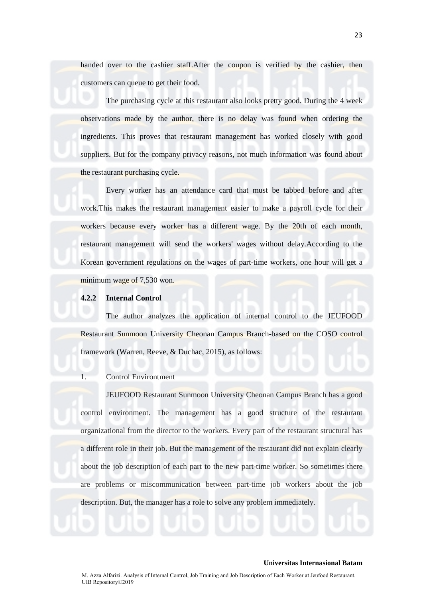handed over to the cashier staff.After the coupon is verified by the cashier, then customers can queue to get their food.

The purchasing cycle at this restaurant also looks pretty good. During the 4 week observations made by the author, there is no delay was found when ordering the ingredients. This proves that restaurant management has worked closely with good suppliers. But for the company privacy reasons, not much information was found about the restaurant purchasing cycle.

Every worker has an attendance card that must be tabbed before and after work.This makes the restaurant management easier to make a payroll cycle for their workers because every worker has a different wage. By the 20th of each month, restaurant management will send the workers' wages without delay.According to the Korean government regulations on the wages of part-time workers, one hour will get a minimum wage of 7,530 won.

### **4.2.2 Internal Control**

The author analyzes the application of internal control to the JEUFOOD Restaurant Sunmoon University Cheonan Campus Branch-based on the COSO control framework (Warren, Reeve, & Duchac, 2015), as follows:

### 1. Control Environtment

JEUFOOD Restaurant Sunmoon University Cheonan Campus Branch has a good control environment. The management has a good structure of the restaurant organizational from the director to the workers. Every part of the restaurant structural has a different role in their job. But the management of the restaurant did not explain clearly about the job description of each part to the new part-time worker. So sometimes there are problems or miscommunication between part-time job workers about the job description. But, the manager has a role to solve any problem immediately.

23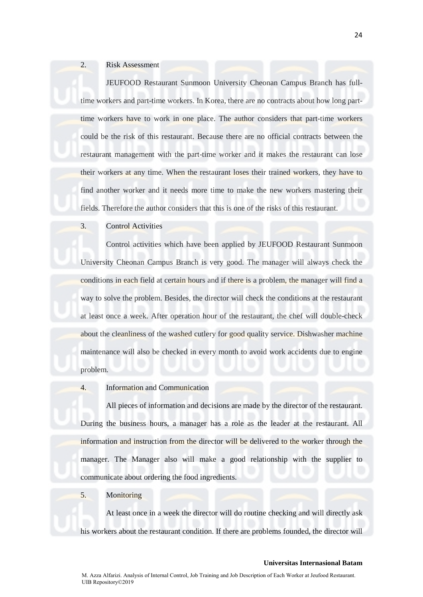### 2. Risk Assessment

JEUFOOD Restaurant Sunmoon University Cheonan Campus Branch has fulltime workers and part-time workers. In Korea, there are no contracts about how long parttime workers have to work in one place. The author considers that part-time workers could be the risk of this restaurant. Because there are no official contracts between the restaurant management with the part-time worker and it makes the restaurant can lose their workers at any time. When the restaurant loses their trained workers, they have to find another worker and it needs more time to make the new workers mastering their fields. Therefore the author considers that this is one of the risks of this restaurant.

# 3. Control Activities

Control activities which have been applied by JEUFOOD Restaurant Sunmoon University Cheonan Campus Branch is very good. The manager will always check the conditions in each field at certain hours and if there is a problem, the manager will find a way to solve the problem. Besides, the director will check the conditions at the restaurant at least once a week. After operation hour of the restaurant, the chef will double-check about the cleanliness of the washed cutlery for good quality service. Dishwasher machine maintenance will also be checked in every month to avoid work accidents due to engine problem.

4. Information and Communication

All pieces of information and decisions are made by the director of the restaurant. During the business hours, a manager has a role as the leader at the restaurant. All information and instruction from the director will be delivered to the worker through the manager. The Manager also will make a good relationship with the supplier to communicate about ordering the food ingredients.

#### 5. Monitoring

At least once in a week the director will do routine checking and will directly ask his workers about the restaurant condition. If there are problems founded, the director will